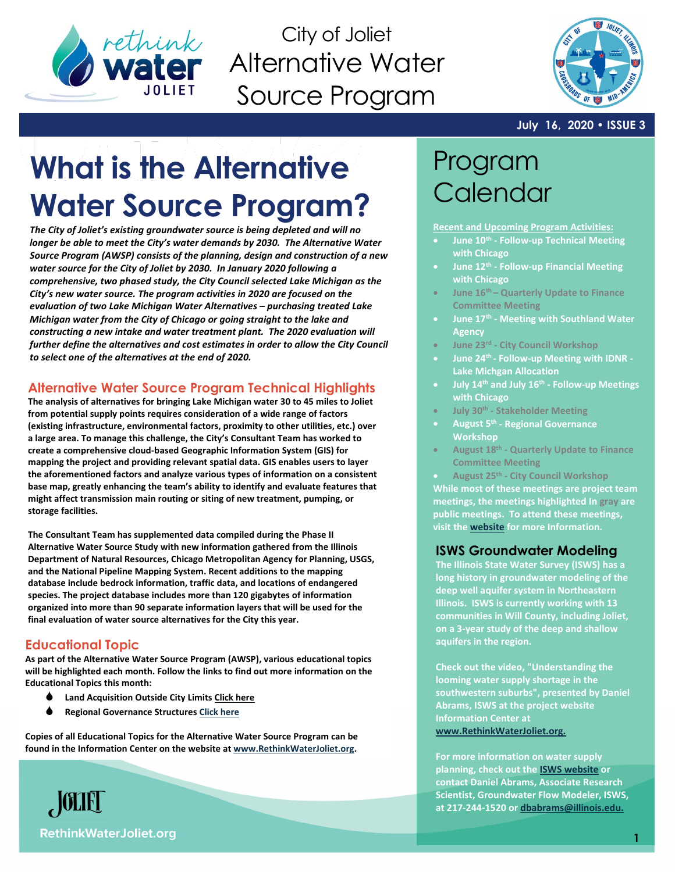

City of Joliet Alternative Water Source Program



#### **July 16, 2020 • ISSUE 3**

# **What is the Alternative Water Source Program?**

*The City of Joliet's existing groundwater source is being depleted and will no longer be able to meet the City's water demands by 2030. The Alternative Water Source Program (AWSP) consists of the planning, design and construction of a new water source for the City of Joliet by 2030. In January 2020 following a comprehensive, two phased study, the City Council selected Lake Michigan as the City's new water source. The program activities in 2020 are focused on the evaluation of two Lake Michigan Water Alternatives – purchasing treated Lake Michigan water from the City of Chicago or going straight to the lake and constructing a new intake and water treatment plant. The 2020 evaluation will*  further define the alternatives and cost estimates in order to allow the City Council *to select one of the alternatives at the end of 2020.* 

## **Alternative Water Source Program Technical Highlights**

**The analysis of alternatives for bringing Lake Michigan water 30 to 45 miles to Joliet from potential supply points requires consideration of a wide range of factors (existing infrastructure, environmental factors, proximity to other utilities, etc.) over a large area. To manage this challenge, the City's Consultant Team has worked to create a comprehensive cloud-based Geographic Information System (GIS) for mapping the project and providing relevant spatial data. GIS enables users to layer the aforementioned factors and analyze various types of information on a consistent base map, greatly enhancing the team's ability to identify and evaluate features that might affect transmission main routing or siting of new treatment, pumping, or storage facilities.**

**The Consultant Team has supplemented data compiled during the Phase II Alternative Water Source Study with new information gathered from the Illinois Department of Natural Resources, Chicago Metropolitan Agency for Planning, USGS, and the National Pipeline Mapping System. Recent additions to the mapping database include bedrock information, traffic data, and locations of endangered species. The project database includes more than 120 gigabytes of information organized into more than 90 separate information layers that will be used for the final evaluation of water source alternatives for the City this year.**

## **Educational Topic**

**As part of the Alternative Water Source Program (AWSP), various educational topics will be highlighted each month. Follow the links to find out more information on the Educational Topics this month:**

- **Land Acquisition Outside City Limits [Click here](https://documentcloud.adobe.com/link/track?uri=urn:aaid:scds:US:678e7d93-1c61-4b6a-88a7-879133dd7f36)**
- **Regional Governance Structures [Click here](https://documentcloud.adobe.com/link/review?uri=urn:aaid:scds:US:e1ffe46e-75f6-4530-8d71-658b119d3863)**

**Copies of all Educational Topics for the Alternative Water Source Program can be found in the Information Center on the website at [www.RethinkWaterJoliet.org.](http://www.rethinkwaterjoliet.org/)**



**Recent and Upcoming Program Activities:**

- **June 10th - Follow-up Technical Meeting with Chicago**
- **June 12th - Follow-up Financial Meeting with Chicago**
- **June 16th – Quarterly Update to Finance Committee Meeting**
- **June 17th - Meeting with Southland Water Agency**
- **June 23rd - City Council Workshop**
- **June 24th - Follow-up Meeting with IDNR - Lake Michgan Allocation**
- **July 14th and July 16th - Follow-up Meetings with Chicago**
- **July 30th - Stakeholder Meeting**
- **August 5th - Regional Governance Workshop**
- **August 18th - Quarterly Update to Finance Committee Meeting**
- **August 25th - City Council Workshop**

**While most of these meetings are project team meetings, the meetings highlighted In gray are public meetings. To attend these meetings, visit th[e website](http://www.joliet.gov/) for more Information.**

#### **ISWS Groundwater Modeling**

**The Illinois State Water Survey (ISWS) has a long history in groundwater modeling of the deep well aquifer system in Northeastern Illinois. ISWS is currently working with 13 communities in Will County, including Joliet, on a 3-year study of the deep and shallow aquifers in the region.** 

**Check out the video, "Understanding the looming water supply shortage in the southwestern suburbs", presented by Daniel Abrams, ISWS at the project website Information Center at [www.RethinkWaterJoliet.org.](https://www.rethinkwaterjoliet.org/copy-of-photo-library)**

**For more information on water supply planning, check out the [ISWS website](https://www.isws.illinois.edu/illinois-water-supply-planning/northeastern-illinois) or contact Daniel Abrams, Associate Research Scientist, Groundwater Flow Modeler, ISWS, at 217-244-1520 o[r dbabrams@illinois.edu.](mailto:dbabrahms@illinos.edu)**

**RethinkWaterJoliet.org**